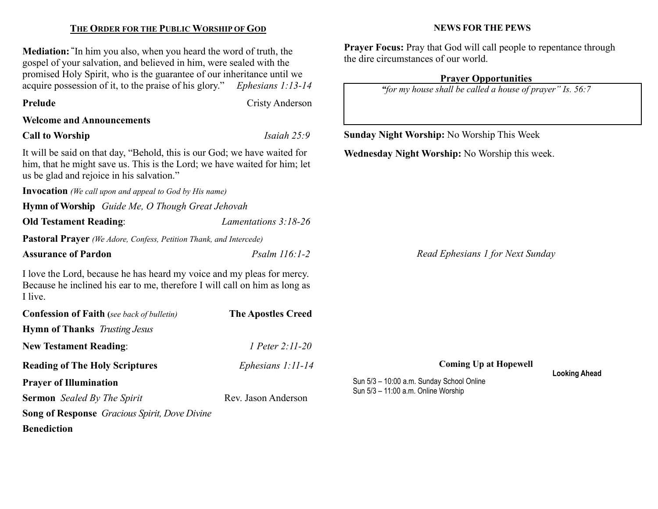| <b>Mediation:</b> "In him you also, when you heard the word of truth, the<br>gospel of your salvation, and believed in him, were sealed with the<br>promised Holy Spirit, who is the guarantee of our inheritance until we<br>acquire possession of it, to the praise of his glory." Ephesians 1:13-14 |                           | <b>Prayer Focus:</b> Pray that God will call people to repentance through<br>the dire circumstances of our world.<br><b>Prayer Opportunities</b><br>"for my house shall be called a house of prayer" Is. 56:7 |  |  |
|--------------------------------------------------------------------------------------------------------------------------------------------------------------------------------------------------------------------------------------------------------------------------------------------------------|---------------------------|---------------------------------------------------------------------------------------------------------------------------------------------------------------------------------------------------------------|--|--|
| Prelude                                                                                                                                                                                                                                                                                                | <b>Cristy Anderson</b>    |                                                                                                                                                                                                               |  |  |
| <b>Welcome and Announcements</b>                                                                                                                                                                                                                                                                       |                           |                                                                                                                                                                                                               |  |  |
| <b>Call to Worship</b>                                                                                                                                                                                                                                                                                 | Isaiah $25:9$             | <b>Sunday Night Worship:</b> No Worship This Week                                                                                                                                                             |  |  |
| It will be said on that day, "Behold, this is our God; we have waited for<br>him, that he might save us. This is the Lord; we have waited for him; let<br>us be glad and rejoice in his salvation."                                                                                                    |                           | Wednesday Night Worship: No Worship this week.                                                                                                                                                                |  |  |
| <b>Invocation</b> (We call upon and appeal to God by His name)                                                                                                                                                                                                                                         |                           |                                                                                                                                                                                                               |  |  |
| Hymn of Worship Guide Me, O Though Great Jehovah                                                                                                                                                                                                                                                       |                           |                                                                                                                                                                                                               |  |  |
| <b>Old Testament Reading:</b>                                                                                                                                                                                                                                                                          | Lamentations 3:18-26      |                                                                                                                                                                                                               |  |  |
| <b>Pastoral Prayer</b> (We Adore, Confess, Petition Thank, and Intercede)                                                                                                                                                                                                                              |                           |                                                                                                                                                                                                               |  |  |
| <b>Assurance of Pardon</b>                                                                                                                                                                                                                                                                             | Psalm 116:1-2             | Read Ephesians 1 for Next Sunday                                                                                                                                                                              |  |  |
| I love the Lord, because he has heard my voice and my pleas for mercy.<br>Because he inclined his ear to me, therefore I will call on him as long as<br>I live.                                                                                                                                        |                           |                                                                                                                                                                                                               |  |  |
| <b>Confession of Faith</b> (see back of bulletin)                                                                                                                                                                                                                                                      | <b>The Apostles Creed</b> |                                                                                                                                                                                                               |  |  |
| <b>Hymn of Thanks</b> Trusting Jesus                                                                                                                                                                                                                                                                   |                           |                                                                                                                                                                                                               |  |  |
| <b>New Testament Reading:</b>                                                                                                                                                                                                                                                                          | 1 Peter 2:11-20           |                                                                                                                                                                                                               |  |  |
| <b>Reading of The Holy Scriptures</b>                                                                                                                                                                                                                                                                  | Ephesians 1:11-14         | <b>Coming Up at Hopewell</b>                                                                                                                                                                                  |  |  |
| <b>Prayer of Illumination</b>                                                                                                                                                                                                                                                                          |                           | <b>Looking Ahead</b><br>Sun 5/3 - 10:00 a.m. Sunday School Online                                                                                                                                             |  |  |

THE ORDER FOR THE PUBLIC WORSHIP OF GOD

Sermon Sealed By The Spirit Rev. Jason Anderson

Song of Response Gracious Spirit, Dove Divine

Benediction

Sun 5/3 – 10:00 a.m. Sunday School Online Sun 5/3 – 11:00 a.m. Online Worship

NEWS FOR THE PEWS